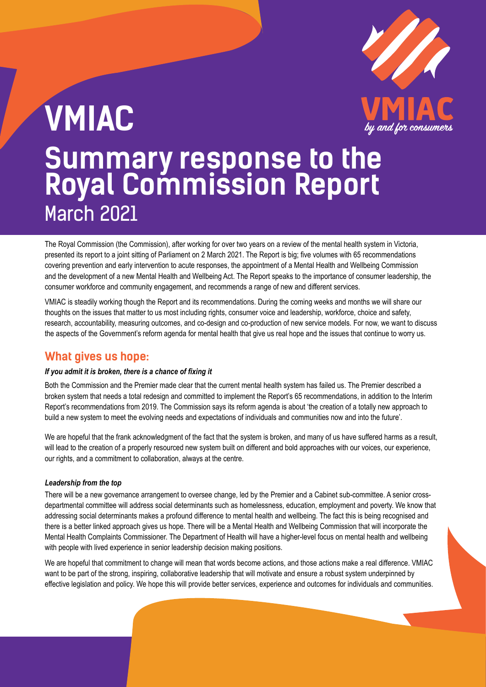

# **VMIAC Summary response to the Royal Commission Report**  March 2021

The Royal Commission (the Commission), after working for over two years on a review of the mental health system in Victoria, presented its report to a joint sitting of Parliament on 2 March 2021. The Report is big; five volumes with 65 recommendations covering prevention and early intervention to acute responses, the appointment of a Mental Health and Wellbeing Commission and the development of a new Mental Health and Wellbeing Act. The Report speaks to the importance of consumer leadership, the consumer workforce and community engagement, and recommends a range of new and different services.

VMIAC is steadily working though the Report and its recommendations. During the coming weeks and months we will share our thoughts on the issues that matter to us most including rights, consumer voice and leadership, workforce, choice and safety, research, accountability, measuring outcomes, and co-design and co-production of new service models. For now, we want to discuss the aspects of the Government's reform agenda for mental health that give us real hope and the issues that continue to worry us.

### **What gives us hope:**

#### *If you admit it is broken, there is a chance of fixing it*

Both the Commission and the Premier made clear that the current mental health system has failed us. The Premier described a broken system that needs a total redesign and committed to implement the Report's 65 recommendations, in addition to the Interim Report's recommendations from 2019. The Commission says its reform agenda is about 'the creation of a totally new approach to build a new system to meet the evolving needs and expectations of individuals and communities now and into the future'.

We are hopeful that the frank acknowledgment of the fact that the system is broken, and many of us have suffered harms as a result, will lead to the creation of a properly resourced new system built on different and bold approaches with our voices, our experience, our rights, and a commitment to collaboration, always at the centre.

#### *Leadership from the top*

There will be a new governance arrangement to oversee change, led by the Premier and a Cabinet sub-committee. A senior crossdepartmental committee will address social determinants such as homelessness, education, employment and poverty. We know that addressing social determinants makes a profound difference to mental health and wellbeing. The fact this is being recognised and there is a better linked approach gives us hope. There will be a Mental Health and Wellbeing Commission that will incorporate the Mental Health Complaints Commissioner. The Department of Health will have a higher-level focus on mental health and wellbeing with people with lived experience in senior leadership decision making positions.

We are hopeful that commitment to change will mean that words become actions, and those actions make a real difference. VMIAC want to be part of the strong, inspiring, collaborative leadership that will motivate and ensure a robust system underpinned by effective legislation and policy. We hope this will provide better services, experience and outcomes for individuals and communities.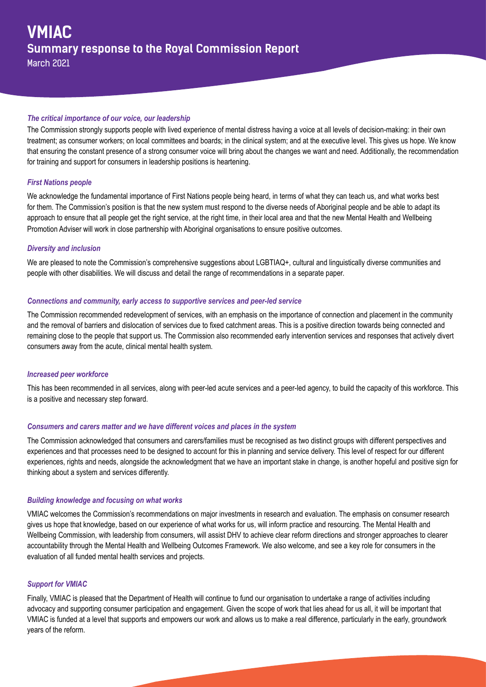#### *The critical importance of our voice, our leadership*

The Commission strongly supports people with lived experience of mental distress having a voice at all levels of decision-making: in their own treatment; as consumer workers; on local committees and boards; in the clinical system; and at the executive level. This gives us hope. We know that ensuring the constant presence of a strong consumer voice will bring about the changes we want and need. Additionally, the recommendation for training and support for consumers in leadership positions is heartening.

#### *First Nations people*

We acknowledge the fundamental importance of First Nations people being heard, in terms of what they can teach us, and what works best for them. The Commission's position is that the new system must respond to the diverse needs of Aboriginal people and be able to adapt its approach to ensure that all people get the right service, at the right time, in their local area and that the new Mental Health and Wellbeing Promotion Adviser will work in close partnership with Aboriginal organisations to ensure positive outcomes.

#### *Diversity and inclusion*

We are pleased to note the Commission's comprehensive suggestions about LGBTIAQ+, cultural and linguistically diverse communities and people with other disabilities. We will discuss and detail the range of recommendations in a separate paper.

#### *Connections and community, early access to supportive services and peer-led service*

The Commission recommended redevelopment of services, with an emphasis on the importance of connection and placement in the community and the removal of barriers and dislocation of services due to fixed catchment areas. This is a positive direction towards being connected and remaining close to the people that support us. The Commission also recommended early intervention services and responses that actively divert consumers away from the acute, clinical mental health system.

#### *Increased peer workforce*

This has been recommended in all services, along with peer-led acute services and a peer-led agency, to build the capacity of this workforce. This is a positive and necessary step forward.

#### *Consumers and carers matter and we have different voices and places in the system*

The Commission acknowledged that consumers and carers/families must be recognised as two distinct groups with different perspectives and experiences and that processes need to be designed to account for this in planning and service delivery. This level of respect for our different experiences, rights and needs, alongside the acknowledgment that we have an important stake in change, is another hopeful and positive sign for thinking about a system and services differently.

#### *Building knowledge and focusing on what works*

VMIAC welcomes the Commission's recommendations on major investments in research and evaluation. The emphasis on consumer research gives us hope that knowledge, based on our experience of what works for us, will inform practice and resourcing. The Mental Health and Wellbeing Commission, with leadership from consumers, will assist DHV to achieve clear reform directions and stronger approaches to clearer accountability through the Mental Health and Wellbeing Outcomes Framework. We also welcome, and see a key role for consumers in the evaluation of all funded mental health services and projects.

#### *Support for VMIAC*

Finally, VMIAC is pleased that the Department of Health will continue to fund our organisation to undertake a range of activities including advocacy and supporting consumer participation and engagement. Given the scope of work that lies ahead for us all, it will be important that VMIAC is funded at a level that supports and empowers our work and allows us to make a real difference, particularly in the early, groundwork years of the reform.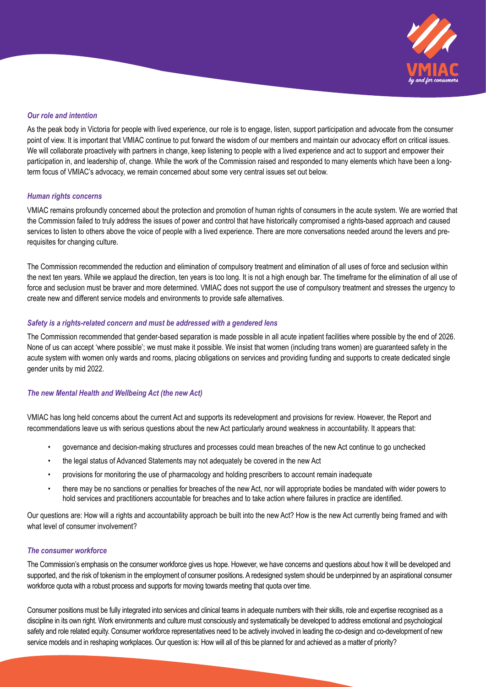

#### *Our role and intention*

As the peak body in Victoria for people with lived experience, our role is to engage, listen, support participation and advocate from the consumer point of view. It is important that VMIAC continue to put forward the wisdom of our members and maintain our advocacy effort on critical issues. We will collaborate proactively with partners in change, keep listening to people with a lived experience and act to support and empower their participation in, and leadership of, change. While the work of the Commission raised and responded to many elements which have been a longterm focus of VMIAC's advocacy, we remain concerned about some very central issues set out below.

#### *Human rights concerns*

VMIAC remains profoundly concerned about the protection and promotion of human rights of consumers in the acute system. We are worried that the Commission failed to truly address the issues of power and control that have historically compromised a rights-based approach and caused services to listen to others above the voice of people with a lived experience. There are more conversations needed around the levers and prerequisites for changing culture.

The Commission recommended the reduction and elimination of compulsory treatment and elimination of all uses of force and seclusion within the next ten years. While we applaud the direction, ten years is too long. It is not a high enough bar. The timeframe for the elimination of all use of force and seclusion must be braver and more determined. VMIAC does not support the use of compulsory treatment and stresses the urgency to create new and different service models and environments to provide safe alternatives.

#### *Safety is a rights-related concern and must be addressed with a gendered lens*

The Commission recommended that gender-based separation is made possible in all acute inpatient facilities where possible by the end of 2026. None of us can accept 'where possible'; we must make it possible. We insist that women (including trans women) are guaranteed safety in the acute system with women only wards and rooms, placing obligations on services and providing funding and supports to create dedicated single gender units by mid 2022.

#### *The new Mental Health and Wellbeing Act (the new Act)*

VMIAC has long held concerns about the current Act and supports its redevelopment and provisions for review. However, the Report and recommendations leave us with serious questions about the new Act particularly around weakness in accountability. It appears that:

- governance and decision-making structures and processes could mean breaches of the new Act continue to go unchecked
- the legal status of Advanced Statements may not adequately be covered in the new Act
- provisions for monitoring the use of pharmacology and holding prescribers to account remain inadequate
- there may be no sanctions or penalties for breaches of the new Act, nor will appropriate bodies be mandated with wider powers to hold services and practitioners accountable for breaches and to take action where failures in practice are identified.

Our questions are: How will a rights and accountability approach be built into the new Act? How is the new Act currently being framed and with what level of consumer involvement?

#### *The consumer workforce*

The Commission's emphasis on the consumer workforce gives us hope. However, we have concerns and questions about how it will be developed and supported, and the risk of tokenism in the employment of consumer positions. A redesigned system should be underpinned by an aspirational consumer workforce quota with a robust process and supports for moving towards meeting that quota over time.

Consumer positions must be fully integrated into services and clinical teams in adequate numbers with their skills, role and expertise recognised as a discipline in its own right. Work environments and culture must consciously and systematically be developed to address emotional and psychological safety and role related equity. Consumer workforce representatives need to be actively involved in leading the co-design and co-development of new service models and in reshaping workplaces. Our question is: How will all of this be planned for and achieved as a matter of priority?